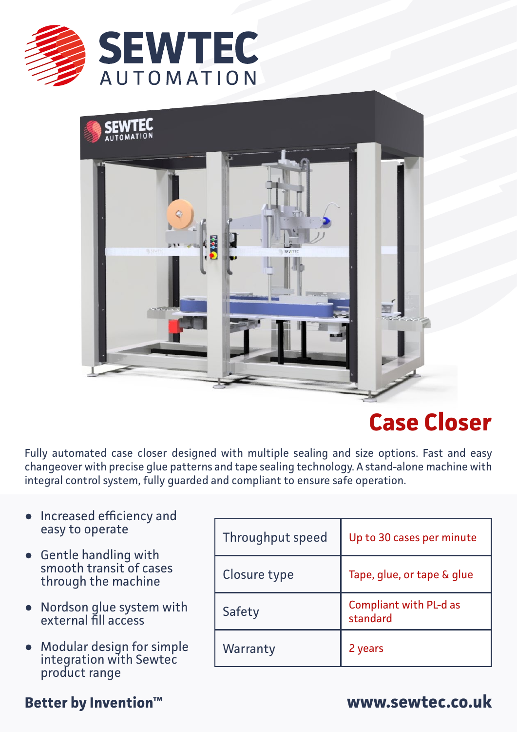



# **Case Closer**

Fully automated case closer designed with multiple sealing and size options. Fast and easy changeover with precise glue patterns and tape sealing technology. A stand-alone machine with integral control system, fully guarded and compliant to ensure safe operation.

- **•** Increased efficiency and easy to operate
- Gentle handling with **●** smooth transit of cases through the machine
- Nordson glue system with external fill access **●**
- Modular design for simple integration with Sewtec product range **●**

| Throughput speed | Up to 30 cases per minute                 |
|------------------|-------------------------------------------|
| Closure type     | Tape, glue, or tape & glue                |
| Safety           | <b>Compliant with PL-d as</b><br>standard |
| Warranty         | 2 years                                   |

## **Better by Invention™ www.sewtec.co.uk**